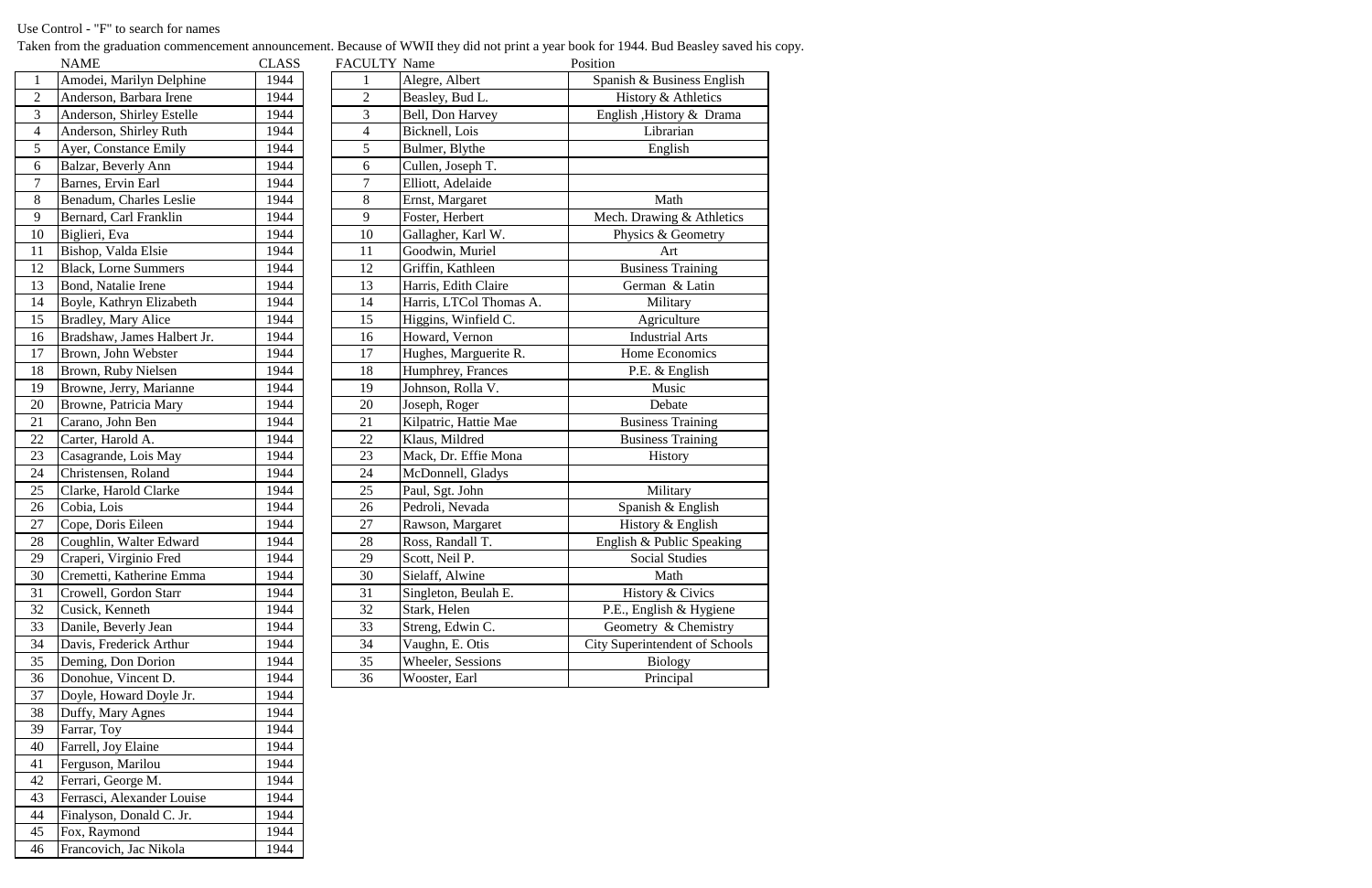Taken from the graduation commencement announcement. Because of WWII they did not print a year book for 1944. Bud Beasley saved his copy.

|                 | <b>NAME</b>                 | <b>CLASS</b> | <b>FACULTY Name</b> |                         | Position                              |
|-----------------|-----------------------------|--------------|---------------------|-------------------------|---------------------------------------|
| $\mathbf{1}$    | Amodei, Marilyn Delphine    | 1944         |                     | Alegre, Albert          | Spanish & Business English            |
| $\mathbf{2}$    | Anderson, Barbara Irene     | 1944         | $\overline{2}$      | Beasley, Bud L.         | History & Athletics                   |
| 3               | Anderson, Shirley Estelle   | 1944         | 3                   | Bell, Don Harvey        | English , History & Drama             |
| $\overline{4}$  | Anderson, Shirley Ruth      | 1944         | $\overline{4}$      | Bicknell, Lois          | Librarian                             |
| $\sqrt{5}$      | Ayer, Constance Emily       | 1944         | 5                   | Bulmer, Blythe          | English                               |
| 6               | Balzar, Beverly Ann         | 1944         | 6                   | Cullen, Joseph T.       |                                       |
| $\overline{7}$  | Barnes, Ervin Earl          | 1944         | $\overline{7}$      | Elliott, Adelaide       |                                       |
| 8               | Benadum, Charles Leslie     | 1944         | 8                   | Ernst, Margaret         | Math                                  |
| 9               | Bernard, Carl Franklin      | 1944         | 9                   | Foster, Herbert         | Mech. Drawing & Athletics             |
| 10              | Biglieri, Eva               | 1944         | 10                  | Gallagher, Karl W.      | Physics & Geometry                    |
| 11              | Bishop, Valda Elsie         | 1944         | 11                  | Goodwin, Muriel         | Art                                   |
| 12              | <b>Black, Lorne Summers</b> | 1944         | 12                  | Griffin, Kathleen       | <b>Business Training</b>              |
| 13              | Bond, Natalie Irene         | 1944         | 13                  | Harris, Edith Claire    | German & Latin                        |
| 14              | Boyle, Kathryn Elizabeth    | 1944         | 14                  | Harris, LTCol Thomas A. | Military                              |
| 15              | <b>Bradley, Mary Alice</b>  | 1944         | 15                  | Higgins, Winfield C.    | Agriculture                           |
| 16              | Bradshaw, James Halbert Jr. | 1944         | 16                  | Howard, Vernon          | <b>Industrial Arts</b>                |
| 17              | Brown, John Webster         | 1944         | 17                  | Hughes, Marguerite R.   | Home Economics                        |
| 18              | Brown, Ruby Nielsen         | 1944         | 18                  | Humphrey, Frances       | P.E. & English                        |
| 19              | Browne, Jerry, Marianne     | 1944         | 19                  | Johnson, Rolla V.       | Music                                 |
| 20              | Browne, Patricia Mary       | 1944         | 20                  | Joseph, Roger           | Debate                                |
| 21              | Carano, John Ben            | 1944         | 21                  | Kilpatric, Hattie Mae   | <b>Business Training</b>              |
| $\overline{22}$ | Carter, Harold A.           | 1944         | 22                  | Klaus, Mildred          | <b>Business Training</b>              |
| $\overline{23}$ | Casagrande, Lois May        | 1944         | 23                  | Mack, Dr. Effie Mona    | History                               |
| 24              | Christensen, Roland         | 1944         | 24                  | McDonnell, Gladys       |                                       |
| 25              | Clarke, Harold Clarke       | 1944         | 25                  | Paul, Sgt. John         | Military                              |
| 26              | Cobia, Lois                 | 1944         | 26                  | Pedroli, Nevada         | Spanish & English                     |
| 27              | Cope, Doris Eileen          | 1944         | 27                  | Rawson, Margaret        | History & English                     |
| $\frac{28}{1}$  | Coughlin, Walter Edward     | 1944         | 28                  | Ross, Randall T.        | English & Public Speaking             |
| 29              | Craperi, Virginio Fred      | 1944         | 29                  | Scott, Neil P.          | <b>Social Studies</b>                 |
| 30              | Cremetti, Katherine Emma    | 1944         | 30                  | Sielaff, Alwine         | Math                                  |
| 31              | Crowell, Gordon Starr       | 1944         | 31                  | Singleton, Beulah E.    | History & Civics                      |
| 32              | Cusick, Kenneth             | 1944         | 32                  | Stark, Helen            | P.E., English & Hygiene               |
| 33              | Danile, Beverly Jean        | 1944         | 33                  | Streng, Edwin C.        | Geometry & Chemistry                  |
| 34              | Davis, Frederick Arthur     | 1944         | 34                  | Vaughn, E. Otis         | <b>City Superintendent of Schools</b> |
| $\overline{35}$ | Deming, Don Dorion          | 1944         | 35                  | Wheeler, Sessions       | <b>Biology</b>                        |
| 36              | Donohue, Vincent D.         | 1944         | 36                  | Wooster, Earl           | Principal                             |

|                | NAME                        | CLASS | <b>FACULTY Name</b> |                          |
|----------------|-----------------------------|-------|---------------------|--------------------------|
| $\mathbf{1}$   | Amodei, Marilyn Delphine    | 1944  | 1                   | Alegre, Albert           |
| $\overline{2}$ | Anderson, Barbara Irene     | 1944  | $\overline{2}$      | Beasley, Bud L.          |
| 3              | Anderson, Shirley Estelle   | 1944  | 3                   | Bell, Don Harvey         |
| $\overline{4}$ | Anderson, Shirley Ruth      | 1944  | $\overline{4}$      | Bicknell, Lois           |
| 5              | Ayer, Constance Emily       | 1944  | 5                   | Bulmer, Blythe           |
| 6              | Balzar, Beverly Ann         | 1944  | 6                   | Cullen, Joseph T.        |
| 7              | Barnes, Ervin Earl          | 1944  | 7                   | Elliott, Adelaide        |
| 8              | Benadum, Charles Leslie     | 1944  | 8                   | Ernst, Margaret          |
| 9              | Bernard, Carl Franklin      | 1944  | 9                   | Foster, Herbert          |
| 10             | Biglieri, Eva               | 1944  | 10                  | Gallagher, Karl W.       |
| 11             | Bishop, Valda Elsie         | 1944  | 11                  | Goodwin, Muriel          |
| 12             | <b>Black, Lorne Summers</b> | 1944  | 12                  | Griffin, Kathleen        |
| 13             | Bond, Natalie Irene         | 1944  | 13                  | Harris, Edith Claire     |
| 14             | Boyle, Kathryn Elizabeth    | 1944  | 14                  | Harris, LTCol Thor       |
| 15             | <b>Bradley, Mary Alice</b>  | 1944  | 15                  | Higgins, Winfield O      |
| 16             | Bradshaw, James Halbert Jr. | 1944  | 16                  | Howard, Vernon           |
| 17             | Brown, John Webster         | 1944  | 17                  | Hughes, Marguerite       |
| 18             | Brown, Ruby Nielsen         | 1944  | 18                  | Humphrey, Frances        |
| 19             | Browne, Jerry, Marianne     | 1944  | 19                  | Johnson, Rolla V.        |
| 20             | Browne, Patricia Mary       | 1944  | 20                  | Joseph, Roger            |
| 21             | Carano, John Ben            | 1944  | 21                  | Kilpatric, Hattie Ma     |
| 22             | Carter, Harold A.           | 1944  | 22                  | Klaus, Mildred           |
| 23             | Casagrande, Lois May        | 1944  | 23                  | Mack, Dr. Effie Mc       |
| 24             | Christensen, Roland         | 1944  | 24                  | McDonnell, Gladys        |
| 25             | Clarke, Harold Clarke       | 1944  | 25                  | Paul, Sgt. John          |
| 26             | Cobia, Lois                 | 1944  | 26                  | Pedroli, Nevada          |
| 27             | Cope, Doris Eileen          | 1944  | 27                  | Rawson, Margaret         |
| 28             | Coughlin, Walter Edward     | 1944  | 28                  | Ross, Randall T.         |
| 29             | Craperi, Virginio Fred      | 1944  | 29                  | Scott, Neil P.           |
| 30             | Cremetti, Katherine Emma    | 1944  | 30                  | Sielaff, Alwine          |
| 31             | Crowell, Gordon Starr       | 1944  | 31                  | Singleton, Beulah E      |
| 32             | Cusick, Kenneth             | 1944  | 32                  | Stark, Helen             |
| 33             | Danile, Beverly Jean        | 1944  | 33                  | Streng, Edwin C.         |
| 34             | Davis, Frederick Arthur     | 1944  | 34                  | Vaughn, E. Otis          |
| 35             | Deming, Don Dorion          | 1944  | 35                  | <b>Wheeler, Sessions</b> |
| 36             | Donohue, Vincent D.         | 1944  | 36                  | Wooster, Earl            |
| 37             | Doyle, Howard Doyle Jr.     | 1944  |                     |                          |
| 38             | Duffy, Mary Agnes           | 1944  |                     |                          |
| 39             | Farrar, Toy                 | 1944  |                     |                          |
| 40             | Farrell, Joy Elaine         | 1944  |                     |                          |
| 41             | Ferguson, Marilou           | 1944  |                     |                          |
| 42             | Ferrari, George M.          | 1944  |                     |                          |
| 43             | Ferrasci, Alexander Louise  | 1944  |                     |                          |
| 44             | Finalyson, Donald C. Jr.    | 1944  |                     |                          |
| 45             | Fox, Raymond                | 1944  |                     |                          |
| 46             | Francovich, Jac Nikola      | 1944  |                     |                          |

## Use Control - "F" to search for names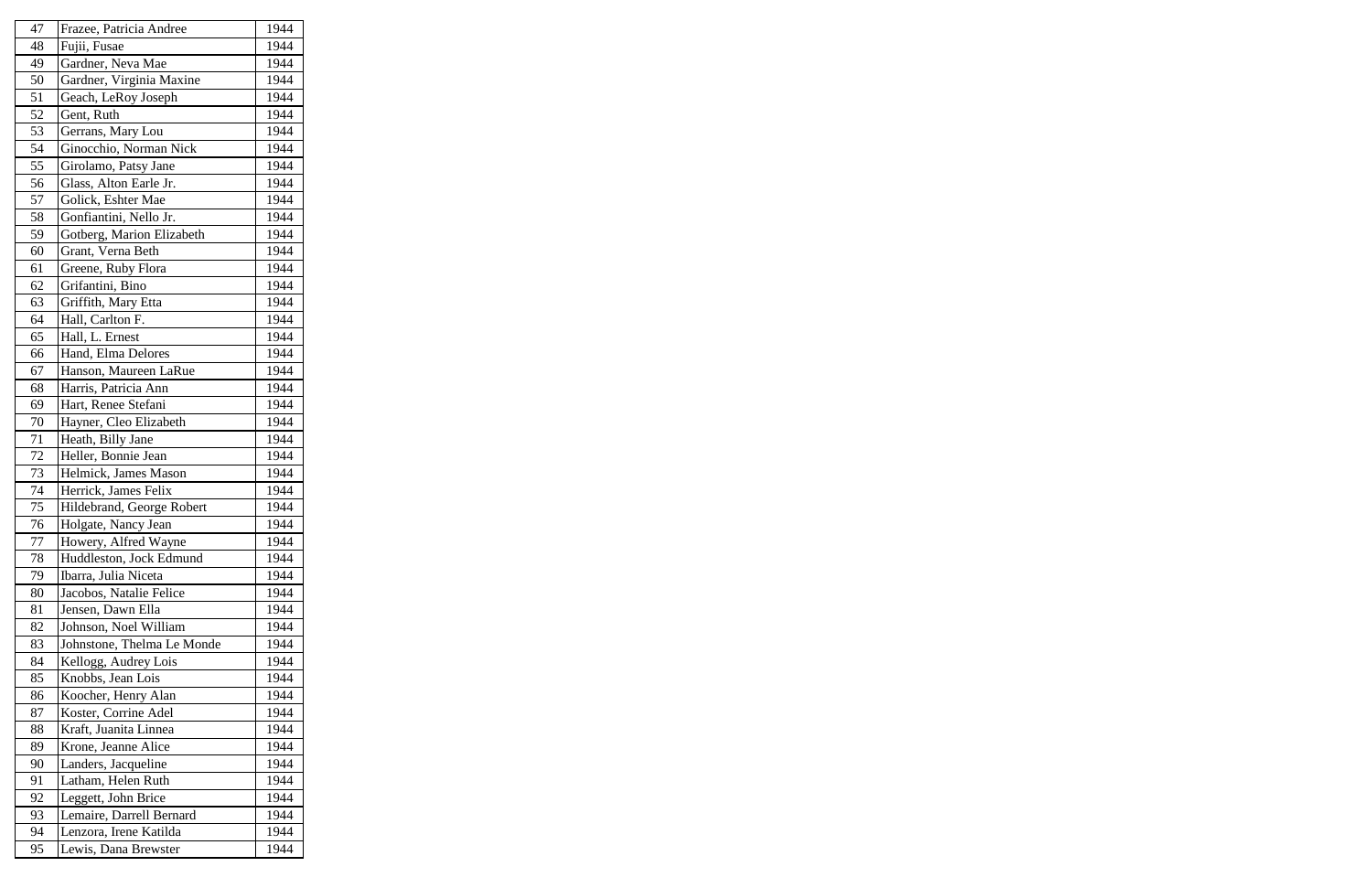| 47 | Frazee, Patricia Andree    | 1944 |
|----|----------------------------|------|
| 48 | Fujii, Fusae               | 1944 |
| 49 | Gardner, Neva Mae          | 1944 |
| 50 | Gardner, Virginia Maxine   | 1944 |
| 51 | Geach, LeRoy Joseph        | 1944 |
| 52 | Gent, Ruth                 | 1944 |
| 53 | Gerrans, Mary Lou          | 1944 |
| 54 | Ginocchio, Norman Nick     | 1944 |
| 55 | Girolamo, Patsy Jane       | 1944 |
| 56 | Glass, Alton Earle Jr.     | 1944 |
| 57 | Golick, Eshter Mae         | 1944 |
| 58 | Gonfiantini, Nello Jr.     | 1944 |
| 59 | Gotberg, Marion Elizabeth  | 1944 |
| 60 | Grant, Verna Beth          | 1944 |
| 61 | Greene, Ruby Flora         | 1944 |
| 62 | Grifantini, Bino           | 1944 |
| 63 | Griffith, Mary Etta        | 1944 |
| 64 | Hall, Carlton F.           | 1944 |
| 65 | Hall, L. Ernest            | 1944 |
| 66 | Hand, Elma Delores         | 1944 |
| 67 | Hanson, Maureen LaRue      | 1944 |
| 68 | Harris, Patricia Ann       | 1944 |
| 69 | Hart, Renee Stefani        | 1944 |
| 70 | Hayner, Cleo Elizabeth     | 1944 |
| 71 | Heath, Billy Jane          | 1944 |
| 72 | Heller, Bonnie Jean        | 1944 |
| 73 | Helmick, James Mason       | 1944 |
| 74 | Herrick, James Felix       | 1944 |
| 75 | Hildebrand, George Robert  | 1944 |
| 76 | Holgate, Nancy Jean        | 1944 |
| 77 | Howery, Alfred Wayne       | 1944 |
| 78 | Huddleston, Jock Edmund    | 1944 |
| 79 | Ibarra, Julia Niceta       | 1944 |
| 80 | Jacobos, Natalie Felice    | 1944 |
| 81 | Jensen, Dawn Ella          | 1944 |
| 82 | Johnson, Noel William      | 1944 |
| 83 | Johnstone, Thelma Le Monde | 1944 |
| 84 | Kellogg, Audrey Lois       | 1944 |
| 85 | Knobbs, Jean Lois          | 1944 |
| 86 | Koocher, Henry Alan        | 1944 |
| 87 | Koster, Corrine Adel       | 1944 |
| 88 | Kraft, Juanita Linnea      | 1944 |
| 89 | Krone, Jeanne Alice        | 1944 |
| 90 | Landers, Jacqueline        | 1944 |
| 91 | Latham, Helen Ruth         | 1944 |
| 92 | Leggett, John Brice        | 1944 |
| 93 | Lemaire, Darrell Bernard   | 1944 |
| 94 | Lenzora, Irene Katilda     | 1944 |
| 95 | Lewis, Dana Brewster       | 1944 |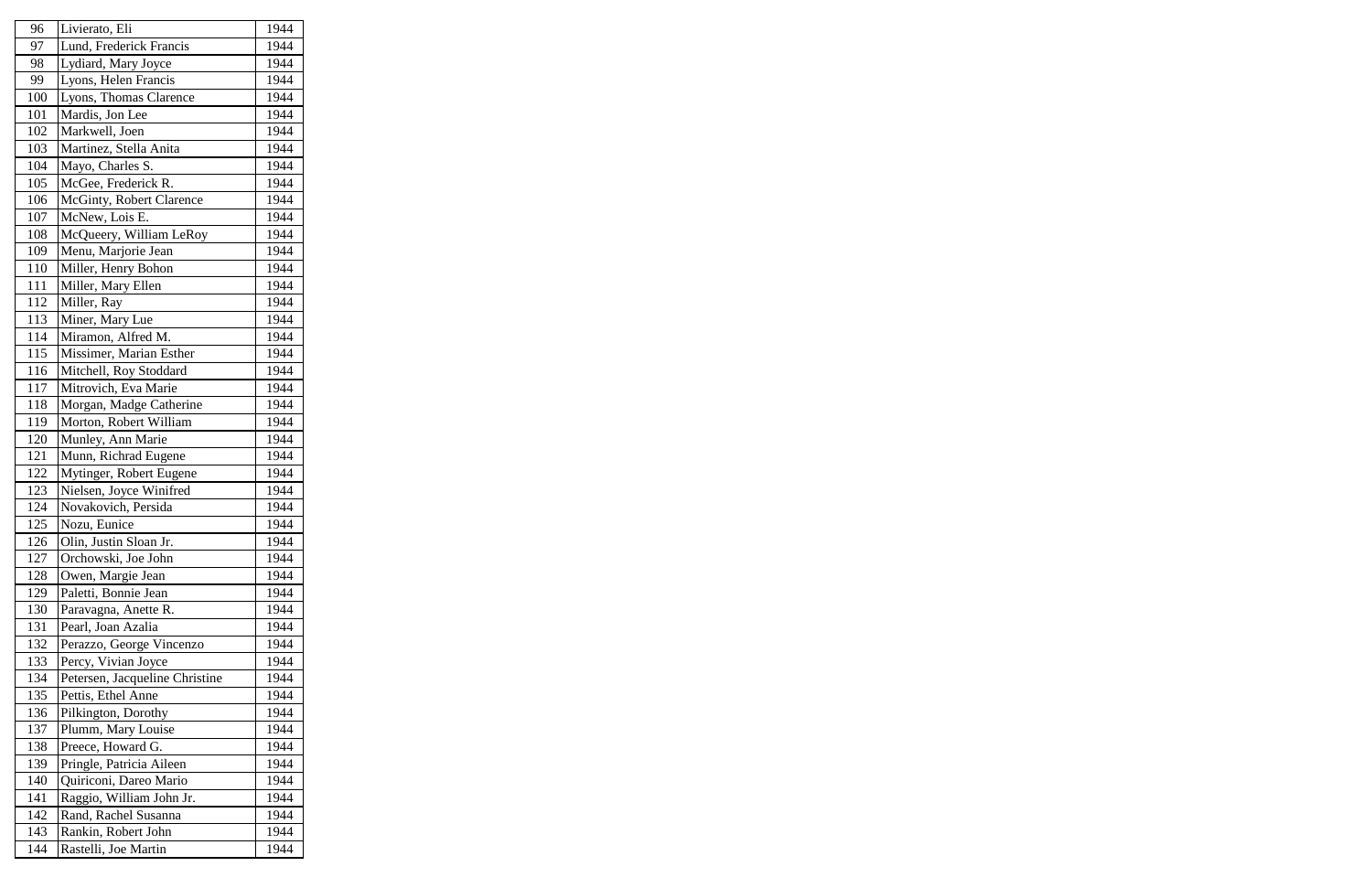| 96  | Livierato, Eli                 | 1944 |
|-----|--------------------------------|------|
| 97  | Lund, Frederick Francis        | 1944 |
| 98  | Lydiard, Mary Joyce            | 1944 |
| 99  | Lyons, Helen Francis           | 1944 |
| 100 | Lyons, Thomas Clarence         | 1944 |
| 101 | Mardis, Jon Lee                | 1944 |
| 102 | Markwell, Joen                 | 1944 |
| 103 | Martinez, Stella Anita         | 1944 |
| 104 | Mayo, Charles S.               | 1944 |
| 105 | McGee, Frederick R.            | 1944 |
| 106 | McGinty, Robert Clarence       | 1944 |
| 107 | McNew, Lois E.                 | 1944 |
| 108 | McQueery, William LeRoy        | 1944 |
| 109 | Menu, Marjorie Jean            | 1944 |
| 110 | Miller, Henry Bohon            | 1944 |
| 111 | Miller, Mary Ellen             | 1944 |
| 112 | Miller, Ray                    | 1944 |
| 113 | Miner, Mary Lue                | 1944 |
| 114 | Miramon, Alfred M.             | 1944 |
| 115 | Missimer, Marian Esther        | 1944 |
| 116 | Mitchell, Roy Stoddard         | 1944 |
| 117 | Mitrovich, Eva Marie           | 1944 |
| 118 | Morgan, Madge Catherine        | 1944 |
| 119 | Morton, Robert William         | 1944 |
| 120 | Munley, Ann Marie              | 1944 |
| 121 | Munn, Richrad Eugene           | 1944 |
| 122 | Mytinger, Robert Eugene        | 1944 |
| 123 | Nielsen, Joyce Winifred        | 1944 |
| 124 | Novakovich, Persida            | 1944 |
| 125 | Nozu, Eunice                   | 1944 |
| 126 | Olin, Justin Sloan Jr.         | 1944 |
| 127 | Orchowski, Joe John            | 1944 |
| 128 | Owen, Margie Jean              | 1944 |
| 129 | Paletti, Bonnie Jean           | 1944 |
| 130 | Paravagna, Anette R.           | 1944 |
| 131 | Pearl, Joan Azalia             | 1944 |
| 132 | Perazzo, George Vincenzo       | 1944 |
| 133 | Percy, Vivian Joyce            | 1944 |
| 134 | Petersen, Jacqueline Christine | 1944 |
| 135 | Pettis, Ethel Anne             | 1944 |
| 136 | Pilkington, Dorothy            | 1944 |
| 137 | Plumm, Mary Louise             | 1944 |
| 138 | Preece, Howard G.              | 1944 |
| 139 | Pringle, Patricia Aileen       | 1944 |
| 140 | Quiriconi, Dareo Mario         | 1944 |
| 141 | Raggio, William John Jr.       | 1944 |
| 142 | Rand, Rachel Susanna           | 1944 |
| 143 | Rankin, Robert John            | 1944 |
| 144 | Rastelli, Joe Martin           | 1944 |